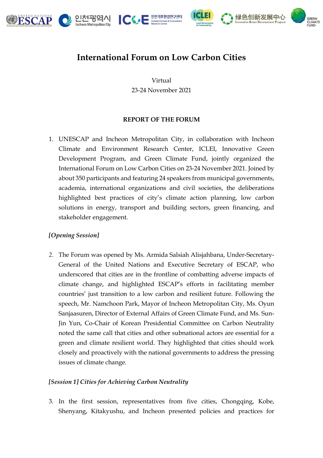







# **International Forum on Low Carbon Cities**

Virtual 23-24 November 2021

# **REPORT OF THE FORUM**

1. UNESCAP and Incheon Metropolitan City, in collaboration with Incheon Climate and Environment Research Center, ICLEI, Innovative Green Development Program, and Green Climate Fund, jointly organized the International Forum on Low Carbon Cities on 23-24 November 2021. Joined by about 350 participants and featuring 24 speakers from municipal governments, academia, international organizations and civil societies, the deliberations highlighted best practices of city's climate action planning, low carbon solutions in energy, transport and building sectors, green financing, and stakeholder engagement.

# *[Opening Session]*

*2.* The Forum was opened by Ms. Armida Salsiah Alisjahbana, Under-Secretary-General of the United Nations and Executive Secretary of ESCAP, who underscored that cities are in the frontline of combatting adverse impacts of climate change, and highlighted ESCAP's efforts in facilitating member countries' just transition to a low carbon and resilient future. Following the speech, Mr. Namchoon Park, Mayor of Incheon Metropolitan City, Ms. Oyun Sanjaasuren, Director of External Affairs of Green Climate Fund, and Ms. Sun-Jin Yun, Co-Chair of Korean Presidential Committee on Carbon Neutrality noted the same call that cities and other subnational actors are essential for a green and climate resilient world. They highlighted that cities should work closely and proactively with the national governments to address the pressing issues of climate change.

# *[Session 1] Cities for Achieving Carbon Neutrality*

3. In the first session, representatives from five cities, Chongqing, Kobe, Shenyang, Kitakyushu, and Incheon presented policies and practices for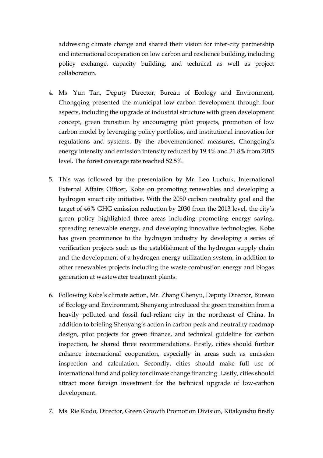addressing climate change and shared their vision for inter-city partnership and international cooperation on low carbon and resilience building, including policy exchange, capacity building, and technical as well as project collaboration.

- 4. Ms. Yun Tan, Deputy Director, Bureau of Ecology and Environment, Chongqing presented the municipal low carbon development through four aspects, including the upgrade of industrial structure with green development concept, green transition by encouraging pilot projects, promotion of low carbon model by leveraging policy portfolios, and institutional innovation for regulations and systems. By the abovementioned measures, Chongqing's energy intensity and emission intensity reduced by 19.4% and 21.8% from 2015 level. The forest coverage rate reached 52.5%.
- 5. This was followed by the presentation by Mr. Leo Luchuk, International External Affairs Officer, Kobe on promoting renewables and developing a hydrogen smart city initiative. With the 2050 carbon neutrality goal and the target of 46% GHG emission reduction by 2030 from the 2013 level, the city's green policy highlighted three areas including promoting energy saving, spreading renewable energy, and developing innovative technologies. Kobe has given prominence to the hydrogen industry by developing a series of verification projects such as the establishment of the hydrogen supply chain and the development of a hydrogen energy utilization system, in addition to other renewables projects including the waste combustion energy and biogas generation at wastewater treatment plants.
- 6. Following Kobe's climate action, Mr. Zhang Chenyu, Deputy Director, Bureau of Ecology and Environment, Shenyang introduced the green transition from a heavily polluted and fossil fuel-reliant city in the northeast of China. In addition to briefing Shenyang's action in carbon peak and neutrality roadmap design, pilot projects for green finance, and technical guideline for carbon inspection, he shared three recommendations. Firstly, cities should further enhance international cooperation, especially in areas such as emission inspection and calculation. Secondly, cities should make full use of international fund and policy for climate change financing. Lastly, cities should attract more foreign investment for the technical upgrade of low-carbon development.
- 7. Ms. Rie Kudo, Director, Green Growth Promotion Division, Kitakyushu firstly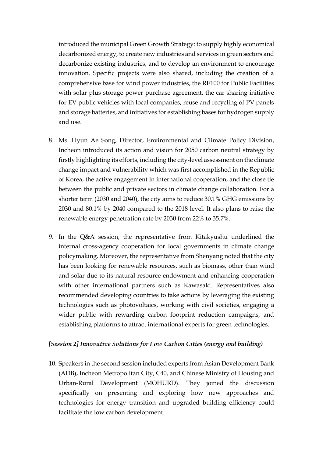introduced the municipal Green Growth Strategy: to supply highly economical decarbonized energy, to create new industries and services in green sectors and decarbonize existing industries, and to develop an environment to encourage innovation. Specific projects were also shared, including the creation of a comprehensive base for wind power industries, the RE100 for Public Facilities with solar plus storage power purchase agreement, the car sharing initiative for EV public vehicles with local companies, reuse and recycling of PV panels and storage batteries, and initiatives for establishing bases for hydrogen supply and use.

- 8. Ms. Hyun Ae Song, Director, Environmental and Climate Policy Division, Incheon introduced its action and vision for 2050 carbon neutral strategy by firstly highlighting its efforts, including the city-level assessment on the climate change impact and vulnerability which was first accomplished in the Republic of Korea, the active engagement in international cooperation, and the close tie between the public and private sectors in climate change collaboration. For a shorter term (2030 and 2040), the city aims to reduce 30.1% GHG emissions by 2030 and 80.1% by 2040 compared to the 2018 level. It also plans to raise the renewable energy penetration rate by 2030 from 22% to 35.7%.
- 9. In the Q&A session, the representative from Kitakyushu underlined the internal cross-agency cooperation for local governments in climate change policymaking. Moreover, the representative from Shenyang noted that the city has been looking for renewable resources, such as biomass, other than wind and solar due to its natural resource endowment and enhancing cooperation with other international partners such as Kawasaki. Representatives also recommended developing countries to take actions by leveraging the existing technologies such as photovoltaics, working with civil societies, engaging a wider public with rewarding carbon footprint reduction campaigns, and establishing platforms to attract international experts for green technologies.

#### *[Session 2] Innovative Solutions for Low Carbon Cities (energy and building)*

10. Speakers in the second session included experts from Asian Development Bank (ADB), Incheon Metropolitan City, C40, and Chinese Ministry of Housing and Urban-Rural Development (MOHURD). They joined the discussion specifically on presenting and exploring how new approaches and technologies for energy transition and upgraded building efficiency could facilitate the low carbon development.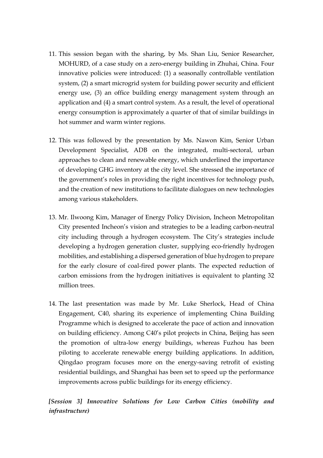- 11. This session began with the sharing, by Ms. Shan Liu, Senior Researcher, MOHURD, of a case study on a zero-energy building in Zhuhai, China. Four innovative policies were introduced: (1) a seasonally controllable ventilation system, (2) a smart microgrid system for building power security and efficient energy use, (3) an office building energy management system through an application and (4) a smart control system. As a result, the level of operational energy consumption is approximately a quarter of that of similar buildings in hot summer and warm winter regions.
- 12. This was followed by the presentation by Ms. Nawon Kim, Senior Urban Development Specialist, ADB on the integrated, multi-sectoral, urban approaches to clean and renewable energy, which underlined the importance of developing GHG inventory at the city level. She stressed the importance of the government's roles in providing the right incentives for technology push, and the creation of new institutions to facilitate dialogues on new technologies among various stakeholders.
- 13. Mr. Ilwoong Kim, Manager of Energy Policy Division, Incheon Metropolitan City presented Incheon's vision and strategies to be a leading carbon-neutral city including through a hydrogen ecosystem. The City's strategies include developing a hydrogen generation cluster, supplying eco-friendly hydrogen mobilities, and establishing a dispersed generation of blue hydrogen to prepare for the early closure of coal-fired power plants. The expected reduction of carbon emissions from the hydrogen initiatives is equivalent to planting 32 million trees.
- 14. The last presentation was made by Mr. Luke Sherlock, Head of China Engagement, C40, sharing its experience of implementing China Building Programme which is designed to accelerate the pace of action and innovation on building efficiency. Among C40's pilot projects in China, Beijing has seen the promotion of ultra-low energy buildings, whereas Fuzhou has been piloting to accelerate renewable energy building applications. In addition, Qingdao program focuses more on the energy-saving retrofit of existing residential buildings, and Shanghai has been set to speed up the performance improvements across public buildings for its energy efficiency.

*[Session 3] Innovative Solutions for Low Carbon Cities (mobility and infrastructure)*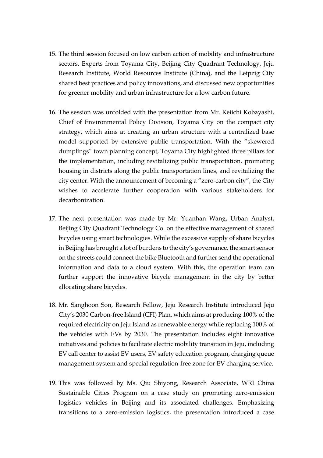- 15. The third session focused on low carbon action of mobility and infrastructure sectors. Experts from Toyama City, Beijing City Quadrant Technology, Jeju Research Institute, World Resources Institute (China), and the Leipzig City shared best practices and policy innovations, and discussed new opportunities for greener mobility and urban infrastructure for a low carbon future.
- 16. The session was unfolded with the presentation from Mr. Keiichi Kobayashi, Chief of Environmental Policy Division, Toyama City on the compact city strategy, which aims at creating an urban structure with a centralized base model supported by extensive public transportation. With the "skewered dumplings" town planning concept, Toyama City highlighted three pillars for the implementation, including revitalizing public transportation, promoting housing in districts along the public transportation lines, and revitalizing the city center. With the announcement of becoming a "zero-carbon city", the City wishes to accelerate further cooperation with various stakeholders for decarbonization.
- 17. The next presentation was made by Mr. Yuanhan Wang, Urban Analyst, Beijing City Quadrant Technology Co. on the effective management of shared bicycles using smart technologies. While the excessive supply of share bicycles in Beijing has brought a lot of burdens to the city's governance, the smart sensor on the streets could connect the bike Bluetooth and further send the operational information and data to a cloud system. With this, the operation team can further support the innovative bicycle management in the city by better allocating share bicycles.
- 18. Mr. Sanghoon Son, Research Fellow, Jeju Research Institute introduced Jeju City's 2030 Carbon-free Island (CFI) Plan, which aims at producing 100% of the required electricity on Jeju Island as renewable energy while replacing 100% of the vehicles with EVs by 2030. The presentation includes eight innovative initiatives and policies to facilitate electric mobility transition in Jeju, including EV call center to assist EV users, EV safety education program, charging queue management system and special regulation-free zone for EV charging service.
- 19. This was followed by Ms. Qiu Shiyong, Research Associate, WRI China Sustainable Cities Program on a case study on promoting zero-emission logistics vehicles in Beijing and its associated challenges. Emphasizing transitions to a zero-emission logistics, the presentation introduced a case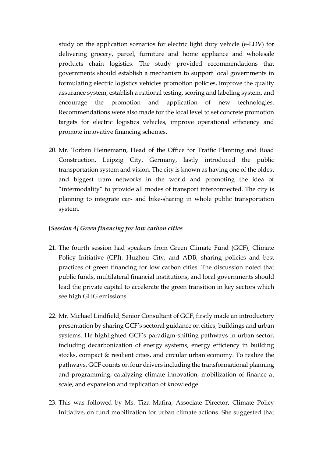study on the application scenarios for electric light duty vehicle (e-LDV) for delivering grocery, parcel, furniture and home appliance and wholesale products chain logistics. The study provided recommendations that governments should establish a mechanism to support local governments in formulating electric logistics vehicles promotion policies, improve the quality assurance system, establish a national testing, scoring and labeling system, and encourage the promotion and application of new technologies. Recommendations were also made for the local level to set concrete promotion targets for electric logistics vehicles, improve operational efficiency and promote innovative financing schemes.

20. Mr. Torben Heinemann, Head of the Office for Traffic Planning and Road Construction, Leipzig City, Germany, lastly introduced the public transportation system and vision. The city is known as having one of the oldest and biggest tram networks in the world and promoting the idea of "intermodality" to provide all modes of transport interconnected. The city is planning to integrate car- and bike-sharing in whole public transportation system.

#### *[Session 4] Green financing for low carbon cities*

- 21. The fourth session had speakers from Green Climate Fund (GCF), Climate Policy Initiative (CPI), Huzhou City, and ADB, sharing policies and best practices of green financing for low carbon cities. The discussion noted that public funds, multilateral financial institutions, and local governments should lead the private capital to accelerate the green transition in key sectors which see high GHG emissions.
- 22. Mr. Michael Lindfield, Senior Consultant of GCF, firstly made an introductory presentation by sharing GCF's sectoral guidance on cities, buildings and urban systems. He highlighted GCF's paradigm-shifting pathways in urban sector, including decarbonization of energy systems, energy efficiency in building stocks, compact & resilient cities, and circular urban economy. To realize the pathways, GCF counts on four drivers including the transformational planning and programming, catalyzing climate innovation, mobilization of finance at scale, and expansion and replication of knowledge.
- 23. This was followed by Ms. Tiza Mafira, Associate Director, Climate Policy Initiative, on fund mobilization for urban climate actions. She suggested that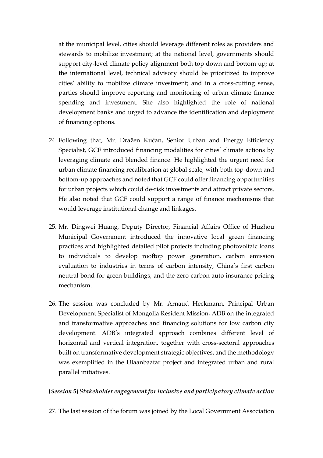at the municipal level, cities should leverage different roles as providers and stewards to mobilize investment; at the national level, governments should support city-level climate policy alignment both top down and bottom up; at the international level, technical advisory should be prioritized to improve cities' ability to mobilize climate investment; and in a cross-cutting sense, parties should improve reporting and monitoring of urban climate finance spending and investment. She also highlighted the role of national development banks and urged to advance the identification and deployment of financing options.

- 24. Following that, Mr. Dražen Kučan, Senior Urban and Energy Efficiency Specialist, GCF introduced financing modalities for cities' climate actions by leveraging climate and blended finance. He highlighted the urgent need for urban climate financing recalibration at global scale, with both top-down and bottom-up approaches and noted that GCF could offer financing opportunities for urban projects which could de-risk investments and attract private sectors. He also noted that GCF could support a range of finance mechanisms that would leverage institutional change and linkages.
- 25. Mr. Dingwei Huang, Deputy Director, Financial Affairs Office of Huzhou Municipal Government introduced the innovative local green financing practices and highlighted detailed pilot projects including photovoltaic loans to individuals to develop rooftop power generation, carbon emission evaluation to industries in terms of carbon intensity, China's first carbon neutral bond for green buildings, and the zero-carbon auto insurance pricing mechanism.
- 26. The session was concluded by Mr. Arnaud Heckmann, Principal Urban Development Specialist of Mongolia Resident Mission, ADB on the integrated and transformative approaches and financing solutions for low carbon city development. ADB's integrated approach combines different level of horizontal and vertical integration, together with cross-sectoral approaches built on transformative development strategic objectives, and the methodology was exemplified in the Ulaanbaatar project and integrated urban and rural parallel initiatives.

### *[Session 5] Stakeholder engagement for inclusive and participatory climate action*

27. The last session of the forum was joined by the Local Government Association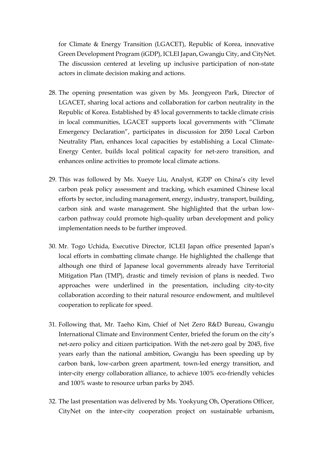for Climate & Energy Transition (LGACET), Republic of Korea, innovative Green Development Program (iGDP), ICLEI Japan, Gwangju City, and CityNet. The discussion centered at leveling up inclusive participation of non-state actors in climate decision making and actions.

- 28. The opening presentation was given by Ms. Jeongyeon Park, Director of LGACET, sharing local actions and collaboration for carbon neutrality in the Republic of Korea. Established by 45 local governments to tackle climate crisis in local communities, LGACET supports local governments with "Climate Emergency Declaration", participates in discussion for 2050 Local Carbon Neutrality Plan, enhances local capacities by establishing a Local Climate-Energy Center, builds local political capacity for net-zero transition, and enhances online activities to promote local climate actions.
- 29. This was followed by Ms. Xueye Liu, Analyst, iGDP on China's city level carbon peak policy assessment and tracking, which examined Chinese local efforts by sector, including management, energy, industry, transport, building, carbon sink and waste management. She highlighted that the urban lowcarbon pathway could promote high-quality urban development and policy implementation needs to be further improved.
- 30. Mr. Togo Uchida, Executive Director, ICLEI Japan office presented Japan's local efforts in combatting climate change. He highlighted the challenge that although one third of Japanese local governments already have Territorial Mitigation Plan (TMP), drastic and timely revision of plans is needed. Two approaches were underlined in the presentation, including city-to-city collaboration according to their natural resource endowment, and multilevel cooperation to replicate for speed.
- 31. Following that, Mr. Taeho Kim, Chief of Net Zero R&D Bureau, Gwangju International Climate and Environment Center, briefed the forum on the city's net-zero policy and citizen participation. With the net-zero goal by 2045, five years early than the national ambition, Gwangju has been speeding up by carbon bank, low-carbon green apartment, town-led energy transition, and inter-city energy collaboration alliance, to achieve 100% eco-friendly vehicles and 100% waste to resource urban parks by 2045.
- 32. The last presentation was delivered by Ms. Yookyung Oh, Operations Officer, CityNet on the inter-city cooperation project on sustainable urbanism,